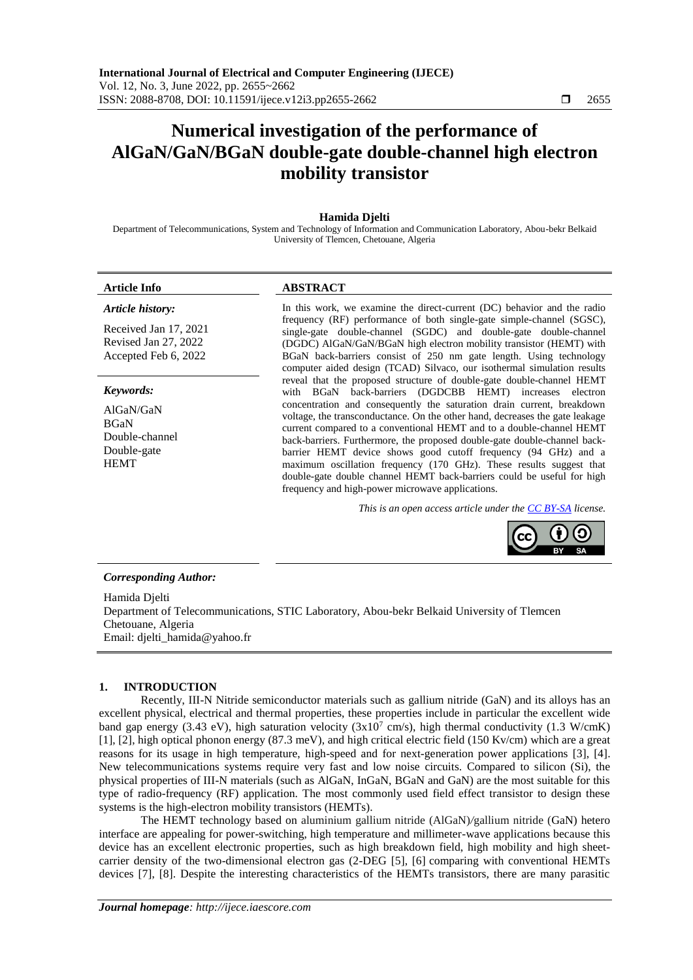# **Numerical investigation of the performance of AlGaN/GaN/BGaN double-gate double-channel high electron mobility transistor**

# **Hamida Djelti**

Department of Telecommunications, System and Technology of Information and Communication Laboratory, Abou-bekr Belkaid University of Tlemcen, Chetouane, Algeria

#### *Article history:*

Received Jan 17, 2021 Revised Jan 27, 2022 Accepted Feb 6, 2022

#### *Keywords:*

AlGaN/GaN BGaN Double-channel Double-gate **HEMT** 

# **Article Info ABSTRACT**

In this work, we examine the direct-current (DC) behavior and the radio frequency (RF) performance of both single-gate simple-channel (SGSC), single-gate double-channel (SGDC) and double-gate double-channel (DGDC) AlGaN/GaN/BGaN high electron mobility transistor (HEMT) with BGaN back-barriers consist of 250 nm gate length. Using technology computer aided design (TCAD) Silvaco, our isothermal simulation results reveal that the proposed structure of double-gate double-channel HEMT with BGaN back-barriers (DGDCBB HEMT) increases electron concentration and consequently the saturation drain current, breakdown voltage, the transconductance. On the other hand, decreases the gate leakage current compared to a conventional HEMT and to a double-channel HEMT back-barriers. Furthermore, the proposed double-gate double-channel backbarrier HEMT device shows good cutoff frequency (94 GHz) and a maximum oscillation frequency (170 GHz). These results suggest that double-gate double channel HEMT back-barriers could be useful for high frequency and high-power microwave applications.

*This is an open access article under the [CC BY-SA](https://creativecommons.org/licenses/by-sa/4.0/) license.*



#### *Corresponding Author:*

Hamida Djelti Department of Telecommunications, STIC Laboratory, Abou-bekr Belkaid University of Tlemcen Chetouane, Algeria Email: djelti\_hamida@yahoo.fr

# **1. INTRODUCTION**

Recently, III-N Nitride semiconductor materials such as gallium nitride (GaN) and its alloys has an excellent physical, electrical and thermal properties, these properties include in particular the excellent wide band gap energy (3.43 eV), high saturation velocity ( $3x10^7$  cm/s), high thermal conductivity (1.3 W/cmK) [1], [2], high optical phonon energy (87.3 meV), and high critical electric field (150 Kv/cm) which are a great reasons for its usage in high temperature, high-speed and for next-generation power applications [3], [4]. New telecommunications systems require very fast and low noise circuits. Compared to silicon (Si), the physical properties of III-N materials (such as AlGaN, InGaN, BGaN and GaN) are the most suitable for this type of radio-frequency (RF) application. The most commonly used field effect transistor to design these systems is the high-electron mobility transistors (HEMTs).

The HEMT technology based on aluminium gallium nitride (AlGaN)*/*gallium nitride (GaN) hetero interface are appealing for power-switching, high temperature and millimeter-wave applications because this device has an excellent electronic properties, such as high breakdown field, high mobility and high sheetcarrier density of the two-dimensional electron gas (2-DEG [5], [6] comparing with conventional HEMTs devices [7], [8]. Despite the interesting characteristics of the HEMTs transistors, there are many parasitic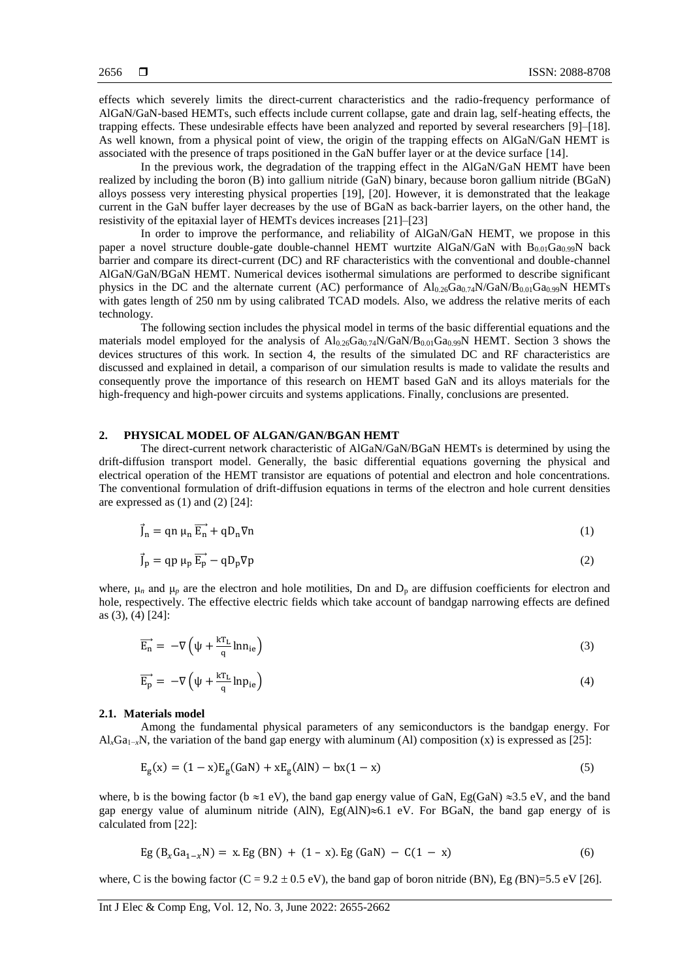effects which severely limits the direct-current characteristics and the radio-frequency performance of AlGaN/GaN-based HEMTs, such effects include current collapse, gate and drain lag, self-heating effects, the trapping effects. These undesirable effects have been analyzed and reported by several researchers [9]–[18]. As well known, from a physical point of view, the origin of the trapping effects on AlGaN/GaN HEMT is associated with the presence of traps positioned in the GaN buffer layer or at the device surface [14].

In the previous work, the degradation of the trapping effect in the AlGaN/GaN HEMT have been realized by including the boron (B) into gallium nitride (GaN) binary, because boron gallium nitride (BGaN) alloys possess very interesting physical properties [19], [20]. However, it is demonstrated that the leakage current in the GaN buffer layer decreases by the use of BGaN as back-barrier layers, on the other hand, the resistivity of the epitaxial layer of HEMTs devices increases [21]–[23]

In order to improve the performance, and reliability of AlGaN/GaN HEMT, we propose in this paper a novel structure double-gate double-channel HEMT wurtzite AlGaN/GaN with  $B_{0.01}Ga_{0.99}N$  back barrier and compare its direct-current (DC) and RF characteristics with the conventional and double-channel AlGaN/GaN/BGaN HEMT. Numerical devices isothermal simulations are performed to describe significant physics in the DC and the alternate current (AC) performance of  $Al_{0.26}Ga_{0.74}N/GaN/B_{0.01}Ga_{0.99}N$  HEMTs with gates length of 250 nm by using calibrated TCAD models. Also, we address the relative merits of each technology.

The following section includes the physical model in terms of the basic differential equations and the materials model employed for the analysis of  $Al_{0.26}Ga_{0.74}N/GaN/B_{0.01}Ga_{0.99}N$  HEMT. Section 3 shows the devices structures of this work. In section 4, the results of the simulated DC and RF characteristics are discussed and explained in detail, a comparison of our simulation results is made to validate the results and consequently prove the importance of this research on HEMT based GaN and its alloys materials for the high-frequency and high-power circuits and systems applications. Finally, conclusions are presented.

# **2. PHYSICAL MODEL OF ALGAN/GAN/BGAN HEMT**

The direct-current network characteristic of AlGaN/GaN/BGaN HEMTs is determined by using the drift-diffusion transport model. Generally, the basic differential equations governing the physical and electrical operation of the HEMT transistor are equations of potential and electron and hole concentrations. The conventional formulation of drift-diffusion equations in terms of the electron and hole current densities are expressed as  $(1)$  and  $(2)$   $[24]$ :

$$
\vec{J}_n = qn \mu_n \vec{E}_n + qD_n \nabla n \tag{1}
$$

$$
\vec{J}_p = qp \mu_p \overrightarrow{E_p} - qD_p \nabla p \tag{2}
$$

where,  $\mu_n$  and  $\mu_p$  are the electron and hole motilities, Dn and  $D_p$  are diffusion coefficients for electron and hole, respectively. The effective electric fields which take account of bandgap narrowing effects are defined as (3), (4) [24]:

$$
\overrightarrow{E_n} = -\nabla \left( \psi + \frac{kT_L}{q} \text{ln} n_{ie} \right) \tag{3}
$$

$$
\overrightarrow{E_p} = -\nabla \left( \psi + \frac{kT_L}{q} \ln p_{ie} \right) \tag{4}
$$

# **2.1. Materials model**

Among the fundamental physical parameters of any semiconductors is the bandgap energy. For Al*x*Ga1−*x*N, the variation of the band gap energy with aluminum (Al) composition (x) is expressed as [25]:

$$
E_g(x) = (1 - x)E_g(GaN) + xE_g(AIN) - bx(1 - x)
$$
\n(5)

where, b is the bowing factor (b  $\approx$ 1 eV), the band gap energy value of GaN, Eg(GaN)  $\approx$ 3.5 eV, and the band gap energy value of aluminum nitride (AlN),  $Eg(AIN) \approx 6.1$  eV. For BGaN, the band gap energy of is calculated from [22]:

$$
Eg(B_xGa_{1-x}N) = x.Eg(BN) + (1-x). Eg(GaN) - C(1-x)
$$
 (6)

where, C is the bowing factor  $(C = 9.2 \pm 0.5 \text{ eV})$ , the band gap of boron nitride (BN), Eg *(BN)=5.5 eV* [26].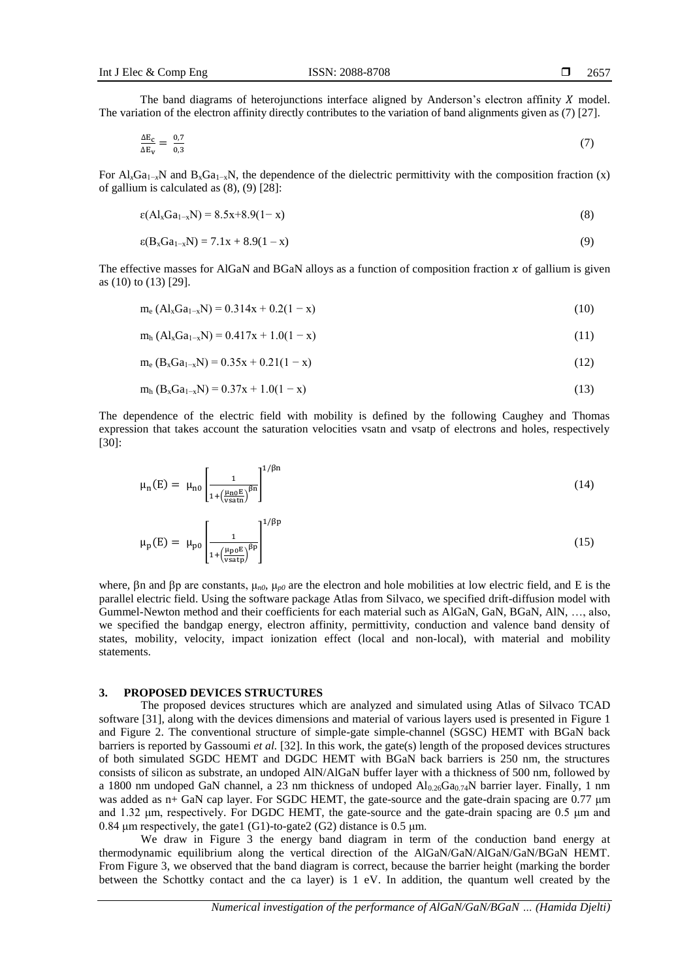The band diagrams of heterojunctions interface aligned by Anderson's electron affinity  $X$  model. The variation of the electron affinity directly contributes to the variation of band alignments given as (7) [27].

$$
\frac{\Delta E_{\rm c}}{\Delta E_{\rm v}} = \frac{0.7}{0.3} \tag{7}
$$

For  $Al_xGa_{1-x}N$  and  $B_xGa_{1-x}N$ , the dependence of the dielectric permittivity with the composition fraction (x) of gallium is calculated as (8), (9) [28]:

$$
\varepsilon(Al_xGa_{1-x}N) = 8.5x + 8.9(1 - x)
$$
\n(8)

$$
\varepsilon(B_xGa_{1-x}N) = 7.1x + 8.9(1 - x) \tag{9}
$$

The effective masses for AlGaN and BGaN alloys as a function of composition fraction  $x$  of gallium is given as (10) to (13) [29].

$$
m_e (Al_xGa_{1-x}N) = 0.314x + 0.2(1-x)
$$
\n(10)

$$
m_h (Al_xGa_{1-x}N) = 0.417x + 1.0(1-x)
$$
\n(11)

$$
m_e (B_x Ga_{1-x}N) = 0.35x + 0.21(1-x)
$$
\n(12)

$$
m_h (B_x G a_{1-x} N) = 0.37x + 1.0(1-x)
$$
\n(13)

The dependence of the electric field with mobility is defined by the following Caughey and Thomas expression that takes account the saturation velocities vsatn and vsatp of electrons and holes, respectively [30]:

$$
\mu_n(E) = \mu_{n0} \left[ \frac{1}{1 + \left( \frac{\mu_{n0} E}{\text{v} \sinh} \right)^{\beta n}} \right]^{1/\beta n}
$$
\n(14)

$$
\mu_{\rm p}(E) = \mu_{\rm p0} \left[ \frac{1}{1 + \left(\frac{\mu_{\rm p0} E}{\text{vsatp}}\right)^{\beta p}} \right]^{1/\beta p} \tag{15}
$$

where,  $\beta$ n and  $\beta$ p are constants,  $\mu_{n0}$ ,  $\mu_{p0}$  are the electron and hole mobilities at low electric field, and E is the parallel electric field. Using the software package Atlas from Silvaco, we specified drift-diffusion model with Gummel-Newton method and their coefficients for each material such as AlGaN, GaN, BGaN, AlN, …, also, we specified the bandgap energy, electron affinity, permittivity, conduction and valence band density of states, mobility, velocity, impact ionization effect (local and non-local), with material and mobility statements.

### **3. PROPOSED DEVICES STRUCTURES**

The proposed devices structures which are analyzed and simulated using Atlas of Silvaco TCAD software [31], along with the devices dimensions and material of various layers used is presented in Figure 1 and Figure 2. The conventional structure of simple-gate simple-channel (SGSC) HEMT with BGaN back barriers is reported by Gassoumi *et al.* [32]. In this work, the gate(s) length of the proposed devices structures of both simulated SGDC HEMT and DGDC HEMT with BGaN back barriers is 250 nm, the structures consists of silicon as substrate, an undoped AlN/AlGaN buffer layer with a thickness of 500 nm, followed by a 1800 nm undoped GaN channel, a  $2\overline{3}$  nm thickness of undoped  $Al_{0.26}Ga_{0.74}N$  barrier layer. Finally, 1 nm was added as n+ GaN cap layer. For SGDC HEMT, the gate-source and the gate-drain spacing are 0.77 μm and 1.32 μm, respectively. For DGDC HEMT, the gate-source and the gate-drain spacing are 0.5 μm and 0.84 μm respectively, the gate1 (G1)-to-gate2 (G2) distance is 0.5 μm.

We draw in Figure 3 the energy band diagram in term of the conduction band energy at thermodynamic equilibrium along the vertical direction of the AlGaN/GaN/AlGaN/GaN/BGaN HEMT. From Figure 3, we observed that the band diagram is correct, because the barrier height (marking the border between the Schottky contact and the ca layer) is 1 eV. In addition, the quantum well created by the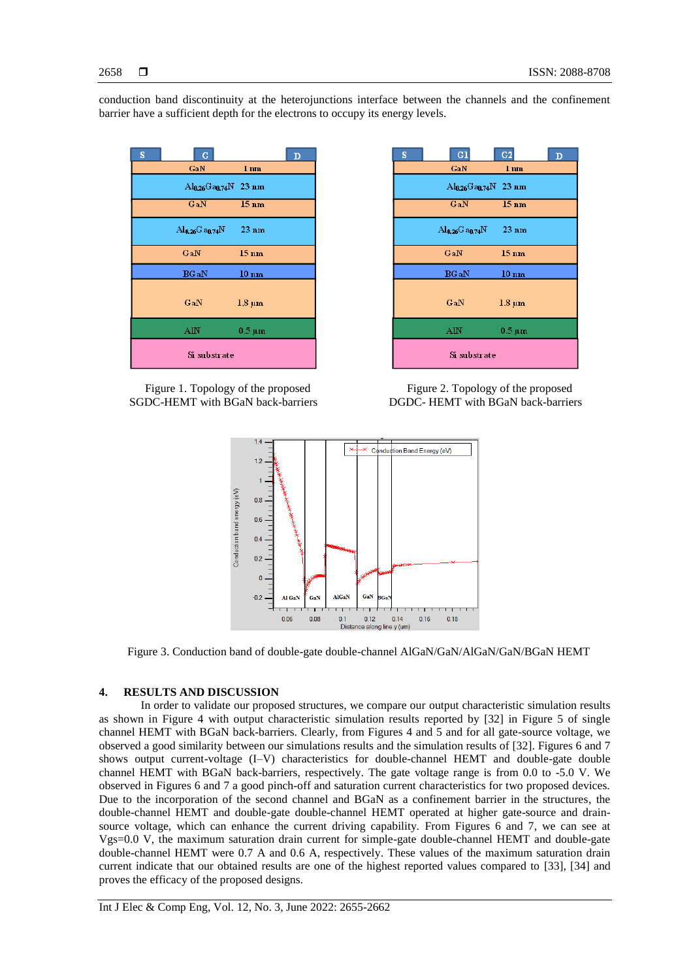conduction band discontinuity at the heterojunctions interface between the channels and the confinement barrier have a sufficient depth for the electrons to occupy its energy levels.



Figure 1. Topology of the proposed SGDC-HEMT with BGaN back-barriers

| S            | G1                              | G <sub>2</sub>    | D |
|--------------|---------------------------------|-------------------|---|
|              | GaN                             | $1 \,\mathrm{nm}$ |   |
|              | $\rm Al_{0.26}Ga_{0.74}N$ 23 nm |                   |   |
|              | GaN                             | $15 \text{ nm}$   |   |
|              | Ala26G aa.74N                   | $23 \text{ nm}$   |   |
|              | GaN                             | $15 \text{ nm}$   |   |
|              | <b>BG</b> aN                    | $10 \text{ nm}$   |   |
|              | GaN                             | $1.8 \mu m$       |   |
|              | AlN                             | $0.5 \mu m$       |   |
| Si substrate |                                 |                   |   |

Figure 2. Topology of the proposed DGDC- HEMT with BGaN back-barriers



Figure 3. Conduction band of double-gate double-channel AlGaN/GaN/AlGaN/GaN/BGaN HEMT

# **4. RESULTS AND DISCUSSION**

In order to validate our proposed structures, we compare our output characteristic simulation results as shown in Figure 4 with output characteristic simulation results reported by [32] in Figure 5 of single channel HEMT with BGaN back-barriers. Clearly, from Figures 4 and 5 and for all gate-source voltage, we observed a good similarity between our simulations results and the simulation results of [32]. Figures 6 and 7 shows output current-voltage (I–V) characteristics for double-channel HEMT and double-gate double channel HEMT with BGaN back-barriers, respectively. The gate voltage range is from 0.0 to -5.0 V. We observed in Figures 6 and 7 a good pinch-off and saturation current characteristics for two proposed devices. Due to the incorporation of the second channel and BGaN as a confinement barrier in the structures, the double-channel HEMT and double-gate double-channel HEMT operated at higher gate-source and drainsource voltage, which can enhance the current driving capability. From Figures 6 and 7, we can see at Vgs=0.0 V, the maximum saturation drain current for simple-gate double-channel HEMT and double-gate double-channel HEMT were 0.7 A and 0.6 A, respectively. These values of the maximum saturation drain current indicate that our obtained results are one of the highest reported values compared to [33], [34] and proves the efficacy of the proposed designs.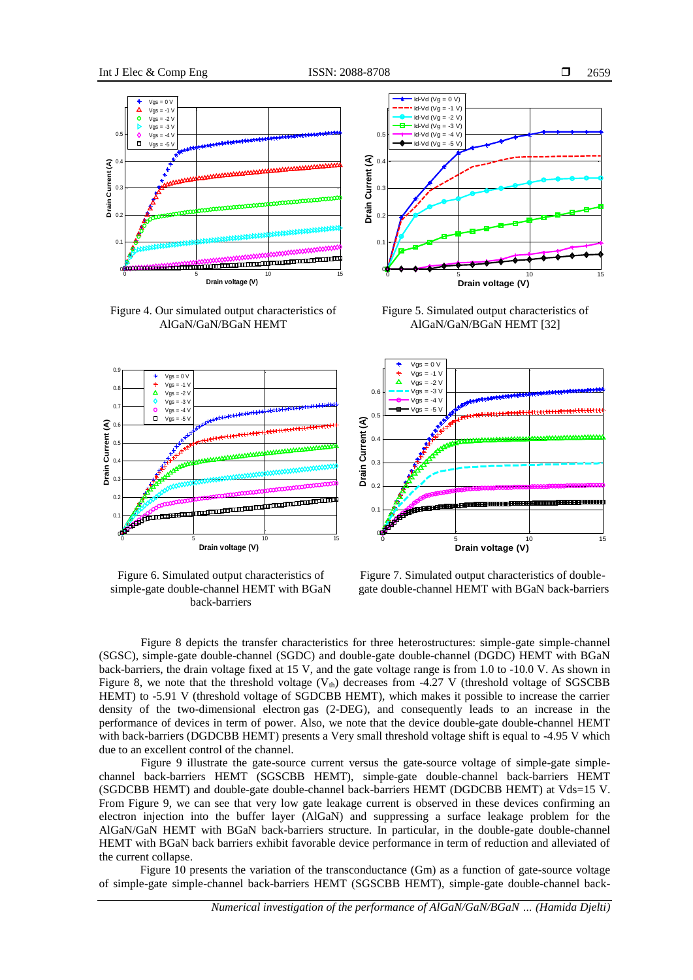

Figure 4. Our simulated output characteristics of AlGaN/GaN/BGaN HEMT



Figure 5. Simulated output characteristics of AlGaN/GaN/BGaN HEMT [32]



Figure 6. Simulated output characteristics of simple-gate double-channel HEMT with BGaN back-barriers



Figure 7. Simulated output characteristics of doublegate double-channel HEMT with BGaN back-barriers

Figure 8 depicts the transfer characteristics for three heterostructures: simple-gate simple-channel (SGSC), simple-gate double-channel (SGDC) and double-gate double-channel (DGDC) HEMT with BGaN back-barriers, the drain voltage fixed at 15 V, and the gate voltage range is from 1.0 to -10.0 V. As shown in Figure 8, we note that the threshold voltage  $(V<sub>th</sub>)$  decreases from -4.27 V (threshold voltage of SGSCBB HEMT) to -5.91 V (threshold voltage of SGDCBB HEMT), which makes it possible to increase the carrier density of the two-dimensional electron gas (2-DEG), and consequently leads to an increase in the performance of devices in term of power. Also, we note that the device double-gate double-channel HEMT with back-barriers (DGDCBB HEMT) presents a Very small threshold voltage shift is equal to -4.95 V which due to an excellent control of the channel.

Figure 9 illustrate the gate-source current versus the gate-source voltage of simple-gate simplechannel back-barriers HEMT (SGSCBB HEMT), simple-gate double-channel back-barriers HEMT (SGDCBB HEMT) and double-gate double-channel back-barriers HEMT (DGDCBB HEMT) at Vds=15 V. From Figure 9, we can see that very low gate leakage current is observed in these devices confirming an electron injection into the buffer layer (AlGaN) and suppressing a surface leakage problem for the AlGaN/GaN HEMT with BGaN back-barriers structure. In particular, in the double-gate double-channel HEMT with BGaN back barriers exhibit favorable device performance in term of reduction and alleviated of the current collapse.

Figure 10 presents the variation of the transconductance (Gm) as a function of gate-source voltage of simple-gate simple-channel back-barriers HEMT (SGSCBB HEMT), simple-gate double-channel back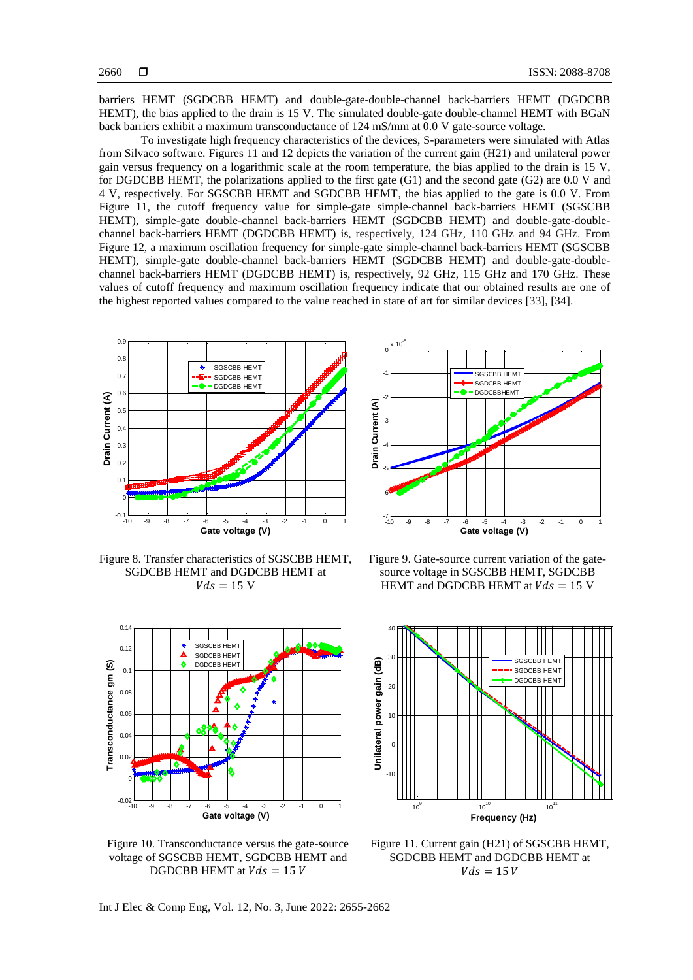barriers HEMT (SGDCBB HEMT) and double-gate-double-channel back-barriers HEMT (DGDCBB HEMT), the bias applied to the drain is 15 V. The simulated double-gate double-channel HEMT with BGaN back barriers exhibit a maximum transconductance of 124 mS/mm at 0.0 V gate-source voltage.

To investigate high frequency characteristics of the devices, S-parameters were simulated with Atlas from Silvaco software. Figures 11 and 12 depicts the variation of the current gain (H21) and unilateral power gain versus frequency on a logarithmic scale at the room temperature, the bias applied to the drain is 15 V, for DGDCBB HEMT, the polarizations applied to the first gate (G1) and the second gate (G2) are 0.0 V and 4 V, respectively. For SGSCBB HEMT and SGDCBB HEMT, the bias applied to the gate is 0.0 V. From Figure 11, the cutoff frequency value for simple-gate simple-channel back-barriers HEMT (SGSCBB HEMT), simple-gate double-channel back-barriers HEMT (SGDCBB HEMT) and double-gate-doublechannel back-barriers HEMT (DGDCBB HEMT) is, respectively, 124 GHz, 110 GHz and 94 GHz. From Figure 12, a maximum oscillation frequency for simple-gate simple-channel back-barriers HEMT (SGSCBB HEMT), simple-gate double-channel back-barriers HEMT (SGDCBB HEMT) and double-gate-doublechannel back-barriers HEMT (DGDCBB HEMT) is, respectively, 92 GHz, 115 GHz and 170 GHz. These values of cutoff frequency and maximum oscillation frequency indicate that our obtained results are one of the highest reported values compared to the value reached in state of art for similar devices [33], [34].



Figure 8. Transfer characteristics of SGSCBB HEMT, SGDCBB HEMT and DGDCBB HEMT at  $Vds = 15$  V



Figure 10. Transconductance versus the gate-source voltage of SGSCBB HEMT, SGDCBB HEMT and DGDCBB HEMT at  $Vds = 15 V$ 



Figure 9. Gate-source current variation of the gatesource voltage in SGSCBB HEMT, SGDCBB HEMT and DGDCBB HEMT at  $Vds = 15$  V



Figure 11. Current gain (H21) of SGSCBB HEMT, SGDCBB HEMT and DGDCBB HEMT at  $Vds = 15 V$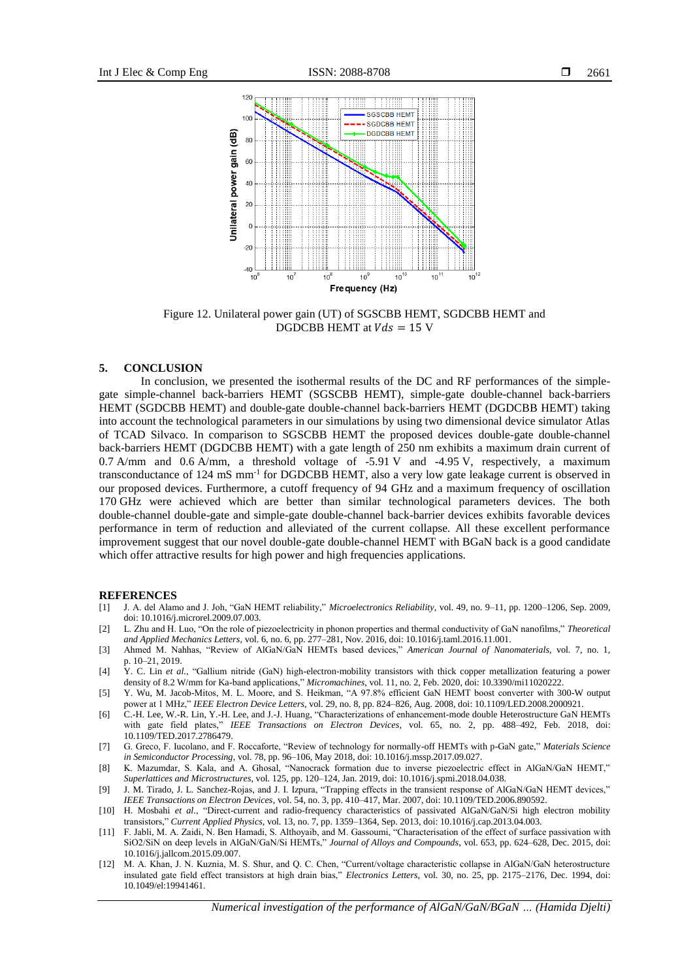

Figure 12. Unilateral power gain (UT) of SGSCBB HEMT, SGDCBB HEMT and DGDCBB HEMT at  $Vds = 15$  V

### **5. CONCLUSION**

In conclusion, we presented the isothermal results of the DC and RF performances of the simplegate simple-channel back-barriers HEMT (SGSCBB HEMT), simple-gate double-channel back-barriers HEMT (SGDCBB HEMT) and double-gate double-channel back-barriers HEMT (DGDCBB HEMT) taking into account the technological parameters in our simulations by using two dimensional device simulator Atlas of TCAD Silvaco. In comparison to SGSCBB HEMT the proposed devices double-gate double-channel back-barriers HEMT (DGDCBB HEMT) with a gate length of 250 nm exhibits a maximum drain current of 0.7 A/mm and 0.6 A/mm, a threshold voltage of -5.91 V and -4.95 V, respectively, a maximum transconductance of 124 mS mm<sup>-1</sup> for DGDCBB HEMT, also a very low gate leakage current is observed in our proposed devices. Furthermore, a cutoff frequency of 94 GHz and a maximum frequency of oscillation 170 GHz were achieved which are better than similar technological parameters devices. The both double-channel double-gate and simple-gate double-channel back-barrier devices exhibits favorable devices performance in term of reduction and alleviated of the current collapse. All these excellent performance improvement suggest that our novel double-gate double-channel HEMT with BGaN back is a good candidate which offer attractive results for high power and high frequencies applications.

#### **REFERENCES**

- [1] J. A. del Alamo and J. Joh, "GaN HEMT reliability," *Microelectronics Reliability*, vol. 49, no. 9–11, pp. 1200–1206, Sep. 2009, doi: 10.1016/j.microrel.2009.07.003.
- [2] L. Zhu and H. Luo, "On the role of piezoelectricity in phonon properties and thermal conductivity of GaN nanofilms," *Theoretical and Applied Mechanics Letters*, vol. 6, no. 6, pp. 277–281, Nov. 2016, doi: 10.1016/j.taml.2016.11.001.
- [3] Ahmed M. Nahhas, "Review of AlGaN/GaN HEMTs based devices," *American Journal of Nanomaterials*, vol. 7, no. 1, p. 10–21, 2019.
- [4] Y. C. Lin *et al.*, "Gallium nitride (GaN) high-electron-mobility transistors with thick copper metallization featuring a power density of 8.2 W/mm for Ka-band applications," *Micromachines*, vol. 11, no. 2, Feb. 2020, doi: 10.3390/mi11020222.
- [5] Y. Wu, M. Jacob-Mitos, M. L. Moore, and S. Heikman, "A 97.8% efficient GaN HEMT boost converter with 300-W output power at 1 MHz," *IEEE Electron Device Letters*, vol. 29, no. 8, pp. 824–826, Aug. 2008, doi: 10.1109/LED.2008.2000921.
- [6] C.-H. Lee, W.-R. Lin, Y.-H. Lee, and J.-J. Huang, "Characterizations of enhancement-mode double Heterostructure GaN HEMTs with gate field plates," *IEEE Transactions on Electron Devices*, vol. 65, no. 2, pp. 488–492, Feb. 2018, doi: 10.1109/TED.2017.2786479.
- [7] G. Greco, F. Iucolano, and F. Roccaforte, "Review of technology for normally-off HEMTs with p-GaN gate," *Materials Science in Semiconductor Processing*, vol. 78, pp. 96–106, May 2018, doi: 10.1016/j.mssp.2017.09.027.
- [8] K. Mazumdar, S. Kala, and A. Ghosal, "Nanocrack formation due to inverse piezoelectric effect in AlGaN/GaN HEMT," *Superlattices and Microstructures*, vol. 125, pp. 120–124, Jan. 2019, doi: 10.1016/j.spmi.2018.04.038.
- [9] J. M. Tirado, J. L. Sanchez-Rojas, and J. I. Izpura, "Trapping effects in the transient response of AlGaN/GaN HEMT devices," *IEEE Transactions on Electron Devices*, vol. 54, no. 3, pp. 410–417, Mar. 2007, doi: 10.1109/TED.2006.890592.
- [10] H. Mosbahi *et al.*, "Direct-current and radio-frequency characteristics of passivated AlGaN/GaN/Si high electron mobility transistors," *Current Applied Physics*, vol. 13, no. 7, pp. 1359–1364, Sep. 2013, doi: 10.1016/j.cap.2013.04.003.
- [11] F. Jabli, M. A. Zaidi, N. Ben Hamadi, S. Althoyaib, and M. Gassoumi, "Characterisation of the effect of surface passivation with SiO2/SiN on deep levels in AlGaN/GaN/Si HEMTs," *Journal of Alloys and Compounds*, vol. 653, pp. 624–628, Dec. 2015, doi: 10.1016/j.jallcom.2015.09.007.
- [12] M. A. Khan, J. N. Kuznia, M. S. Shur, and Q. C. Chen, "Current/voltage characteristic collapse in AlGaN/GaN heterostructure insulated gate field effect transistors at high drain bias," *Electronics Letters*, vol. 30, no. 25, pp. 2175–2176, Dec. 1994, doi: 10.1049/el:19941461.